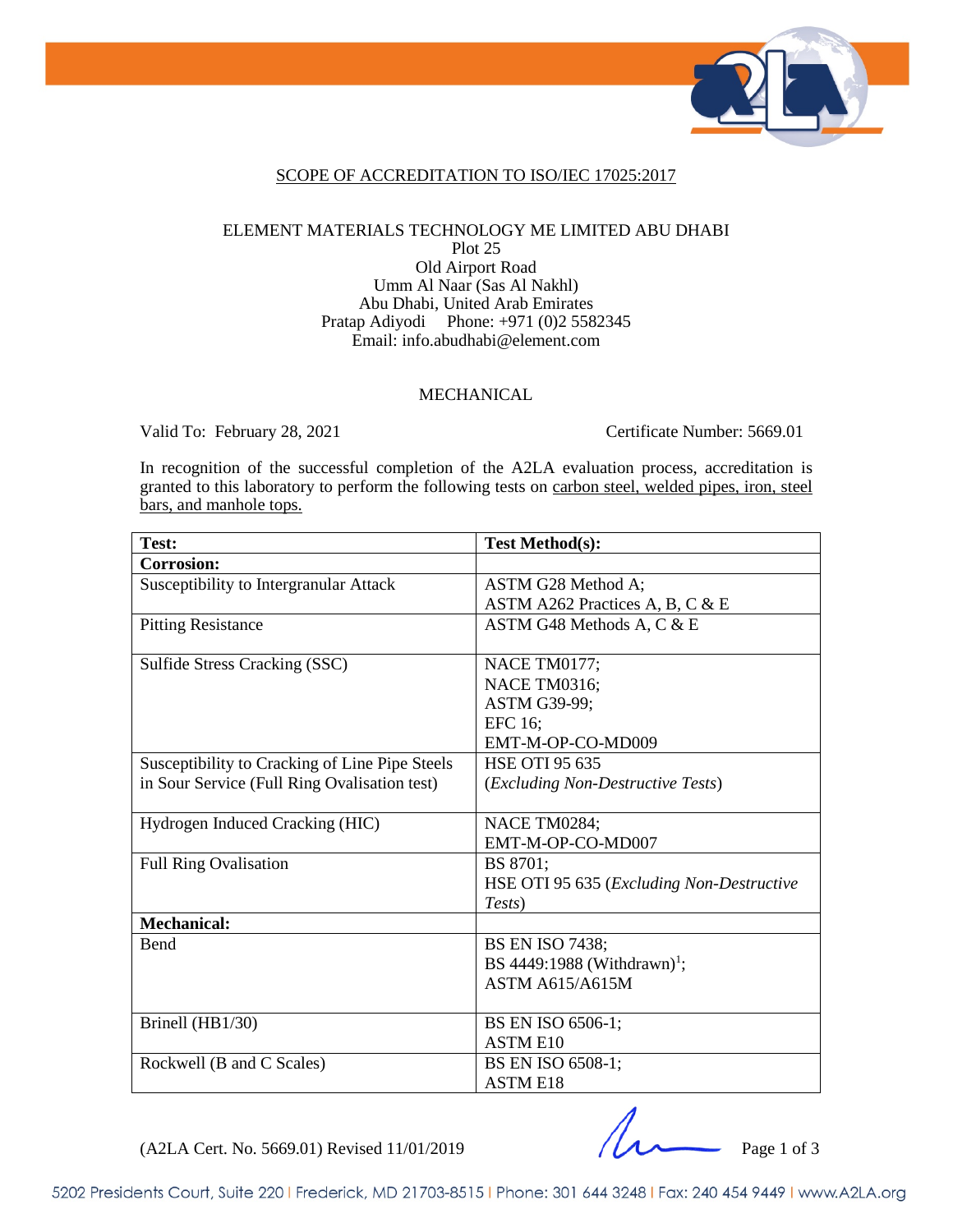

#### SCOPE OF ACCREDITATION TO ISO/IEC 17025:2017

#### ELEMENT MATERIALS TECHNOLOGY ME LIMITED ABU DHABI Plot 25 Old Airport Road

Umm Al Naar (Sas Al Nakhl) Abu Dhabi, United Arab Emirates Pratap Adiyodi Phone: +971 (0)2 5582345 Email: info.abudhabi@element.com

#### **MECHANICAL**

Valid To: February 28, 2021 Certificate Number: 5669.01

In recognition of the successful completion of the A2LA evaluation process, accreditation is granted to this laboratory to perform the following tests on carbon steel, welded pipes, iron, steel bars, and manhole tops.

| Test:                                          | <b>Test Method(s):</b>                    |
|------------------------------------------------|-------------------------------------------|
| <b>Corrosion:</b>                              |                                           |
| Susceptibility to Intergranular Attack         | ASTM G28 Method A;                        |
|                                                | ASTM A262 Practices A, B, C & E           |
| <b>Pitting Resistance</b>                      | ASTM G48 Methods A, C & E                 |
|                                                |                                           |
| Sulfide Stress Cracking (SSC)                  | NACE TM0177;                              |
|                                                | NACE TM0316;                              |
|                                                | ASTM G39-99;                              |
|                                                | EFC 16;                                   |
|                                                | EMT-M-OP-CO-MD009                         |
| Susceptibility to Cracking of Line Pipe Steels | <b>HSE OTI 95 635</b>                     |
| in Sour Service (Full Ring Ovalisation test)   | (Excluding Non-Destructive Tests)         |
|                                                |                                           |
| Hydrogen Induced Cracking (HIC)                | NACE TM0284;                              |
|                                                | EMT-M-OP-CO-MD007                         |
| <b>Full Ring Ovalisation</b>                   | BS 8701:                                  |
|                                                | HSE OTI 95 635 (Excluding Non-Destructive |
|                                                | Tests)                                    |
| <b>Mechanical:</b>                             |                                           |
| Bend                                           | <b>BS EN ISO 7438;</b>                    |
|                                                | BS 4449:1988 (Withdrawn) <sup>1</sup> ;   |
|                                                | <b>ASTM A615/A615M</b>                    |
|                                                |                                           |
| Brinell (HB1/30)                               | BS EN ISO 6506-1;                         |
|                                                | <b>ASTM E10</b>                           |
| Rockwell (B and C Scales)                      | BS EN ISO 6508-1;                         |
|                                                | <b>ASTM E18</b>                           |

(A2LA Cert. No. 5669.01) Revised 11/01/2019 Page 1 of 3

5202 Presidents Court, Suite 220 | Frederick, MD 21703-8515 | Phone: 301 644 3248 | Fax: 240 454 9449 | www.A2LA.org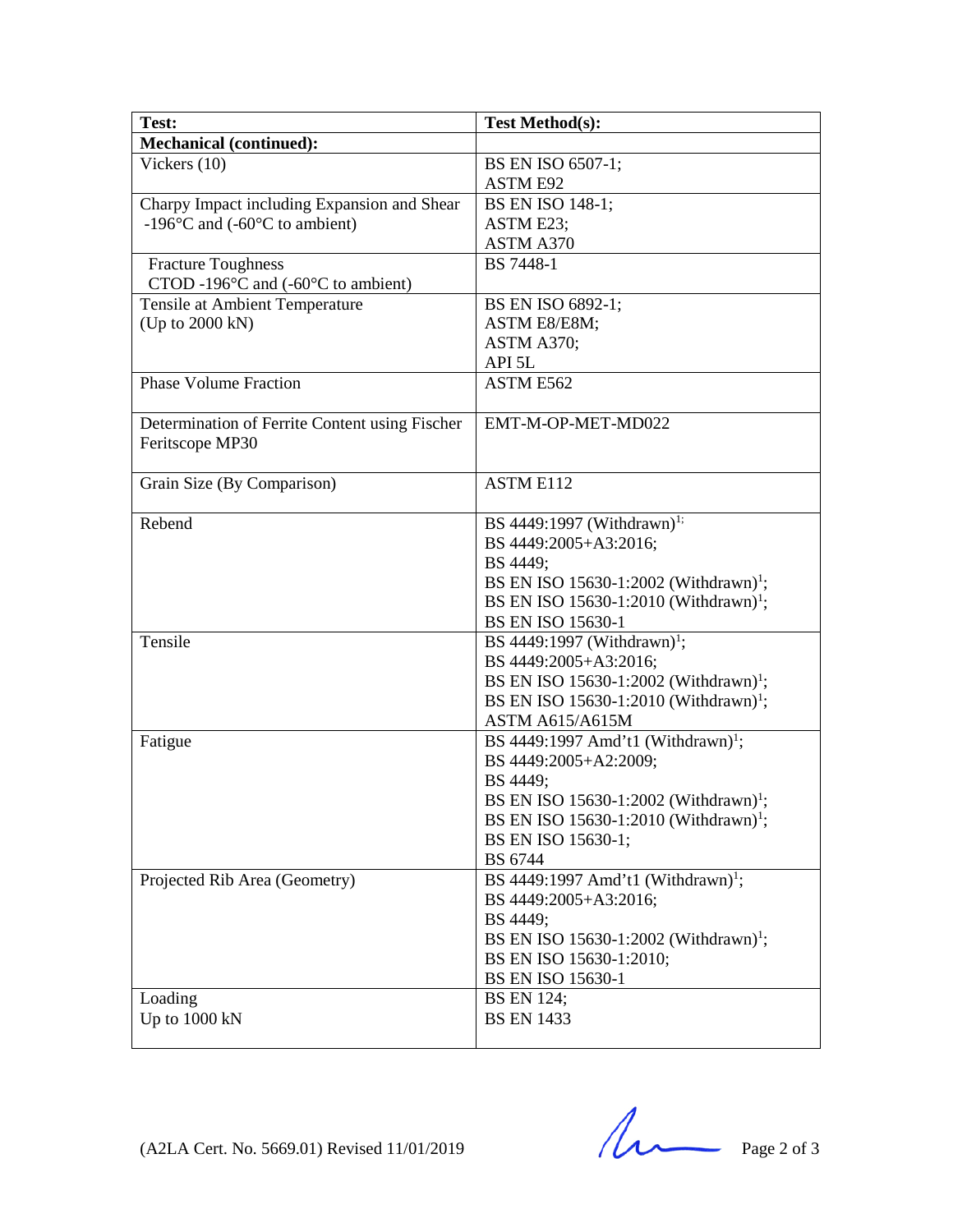| Test:                                                               | <b>Test Method(s):</b>                            |
|---------------------------------------------------------------------|---------------------------------------------------|
| <b>Mechanical (continued):</b>                                      |                                                   |
| Vickers $(10)$                                                      | BS EN ISO 6507-1;                                 |
|                                                                     | <b>ASTM E92</b>                                   |
| Charpy Impact including Expansion and Shear                         | <b>BS EN ISO 148-1;</b>                           |
| -196 $\mathrm{^{\circ}C}$ and (-60 $\mathrm{^{\circ}C}$ to ambient) | ASTM E23;                                         |
|                                                                     | ASTM A370                                         |
| <b>Fracture Toughness</b>                                           | <b>BS</b> 7448-1                                  |
| CTOD -196 $\degree$ C and (-60 $\degree$ C to ambient)              |                                                   |
| Tensile at Ambient Temperature                                      | BS EN ISO 6892-1;                                 |
| (Up to 2000 kN)                                                     | ASTM E8/E8M;                                      |
|                                                                     | ASTM A370;                                        |
|                                                                     | API 5L                                            |
| <b>Phase Volume Fraction</b>                                        | ASTM E562                                         |
|                                                                     |                                                   |
| Determination of Ferrite Content using Fischer                      | EMT-M-OP-MET-MD022                                |
| Feritscope MP30                                                     |                                                   |
|                                                                     |                                                   |
| Grain Size (By Comparison)                                          | <b>ASTM E112</b>                                  |
|                                                                     |                                                   |
| Rebend                                                              | BS 4449:1997 (Withdrawn) <sup>1;</sup>            |
|                                                                     | BS 4449:2005+A3:2016;                             |
|                                                                     | BS 4449;                                          |
|                                                                     | BS EN ISO 15630-1:2002 (Withdrawn) <sup>1</sup> ; |
|                                                                     | BS EN ISO 15630-1:2010 (Withdrawn) <sup>1</sup> ; |
|                                                                     | <b>BS EN ISO 15630-1</b>                          |
| Tensile                                                             | BS 4449:1997 (Withdrawn) <sup>1</sup> ;           |
|                                                                     | BS 4449:2005+A3:2016;                             |
|                                                                     | BS EN ISO 15630-1:2002 (Withdrawn) <sup>1</sup> ; |
|                                                                     | BS EN ISO 15630-1:2010 (Withdrawn) <sup>1</sup> ; |
|                                                                     | <b>ASTM A615/A615M</b>                            |
| Fatigue                                                             | BS 4449:1997 Amd't1 (Withdrawn) <sup>1</sup> ;    |
|                                                                     | BS 4449:2005+A2:2009;                             |
|                                                                     | BS 4449;                                          |
|                                                                     | BS EN ISO 15630-1:2002 (Withdrawn) <sup>1</sup> ; |
|                                                                     | BS EN ISO 15630-1:2010 (Withdrawn) <sup>1</sup> ; |
|                                                                     | BS EN ISO 15630-1;                                |
|                                                                     | BS 6744                                           |
| Projected Rib Area (Geometry)                                       | BS 4449:1997 Amd't1 (Withdrawn) <sup>1</sup> ;    |
|                                                                     | BS 4449:2005+A3:2016;                             |
|                                                                     | BS 4449;                                          |
|                                                                     | BS EN ISO 15630-1:2002 (Withdrawn) <sup>1</sup> ; |
|                                                                     | BS EN ISO 15630-1:2010;                           |
|                                                                     | <b>BS EN ISO 15630-1</b>                          |
| Loading                                                             | <b>BS EN 124;</b>                                 |
| Up to 1000 kN                                                       | <b>BS EN 1433</b>                                 |
|                                                                     |                                                   |

 $(A2LA$  Cert. No. 5669.01) Revised 11/01/2019 Page 2 of 3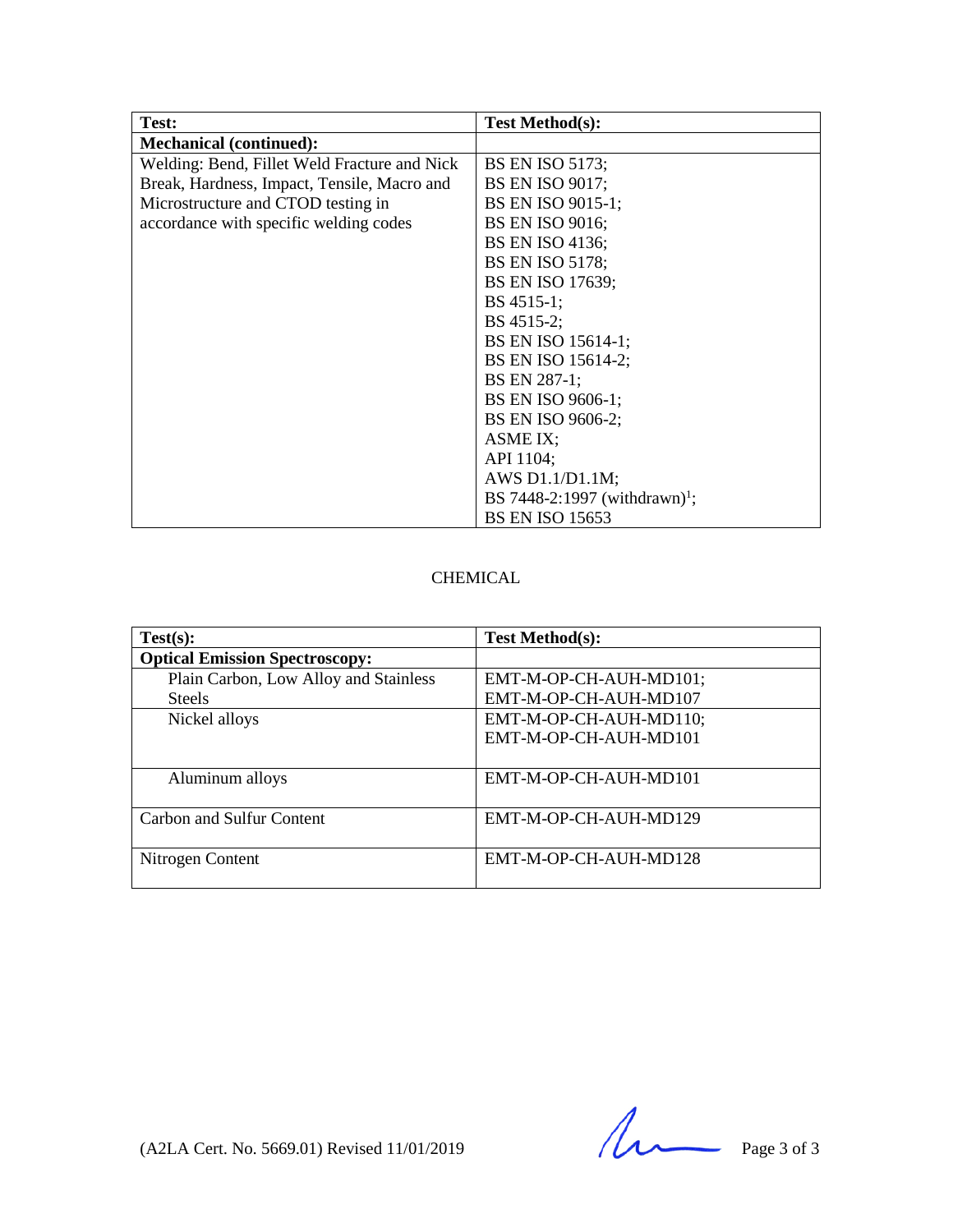| Test:                                        | <b>Test Method(s):</b>                    |
|----------------------------------------------|-------------------------------------------|
| <b>Mechanical (continued):</b>               |                                           |
| Welding: Bend, Fillet Weld Fracture and Nick | <b>BS EN ISO 5173;</b>                    |
| Break, Hardness, Impact, Tensile, Macro and  | <b>BS EN ISO 9017;</b>                    |
| Microstructure and CTOD testing in           | BS EN ISO 9015-1;                         |
| accordance with specific welding codes       | <b>BS EN ISO 9016;</b>                    |
|                                              | <b>BS EN ISO 4136;</b>                    |
|                                              | <b>BS EN ISO 5178;</b>                    |
|                                              | BS EN ISO 17639;                          |
|                                              | BS 4515-1;                                |
|                                              | BS 4515-2;                                |
|                                              | BS EN ISO 15614-1;                        |
|                                              | BS EN ISO 15614-2;                        |
|                                              | BS EN 287-1;                              |
|                                              | BS EN ISO 9606-1;                         |
|                                              | BS EN ISO 9606-2;                         |
|                                              | ASME IX;                                  |
|                                              | API 1104;                                 |
|                                              | AWS D1.1/D1.1M;                           |
|                                              | BS 7448-2:1997 (withdrawn) <sup>1</sup> ; |
|                                              | <b>BS EN ISO 15653</b>                    |

#### CHEMICAL

| Test(s):                              | <b>Test Method(s):</b> |
|---------------------------------------|------------------------|
| <b>Optical Emission Spectroscopy:</b> |                        |
| Plain Carbon, Low Alloy and Stainless | EMT-M-OP-CH-AUH-MD101; |
| <b>Steels</b>                         | EMT-M-OP-CH-AUH-MD107  |
| Nickel alloys                         | EMT-M-OP-CH-AUH-MD110; |
|                                       | EMT-M-OP-CH-AUH-MD101  |
|                                       |                        |
| Aluminum alloys                       | EMT-M-OP-CH-AUH-MD101  |
|                                       |                        |
| Carbon and Sulfur Content             | EMT-M-OP-CH-AUH-MD129  |
|                                       |                        |
| Nitrogen Content                      | EMT-M-OP-CH-AUH-MD128  |
|                                       |                        |

 $(A2LA$  Cert. No. 5669.01) Revised 11/01/2019 Page 3 of 3